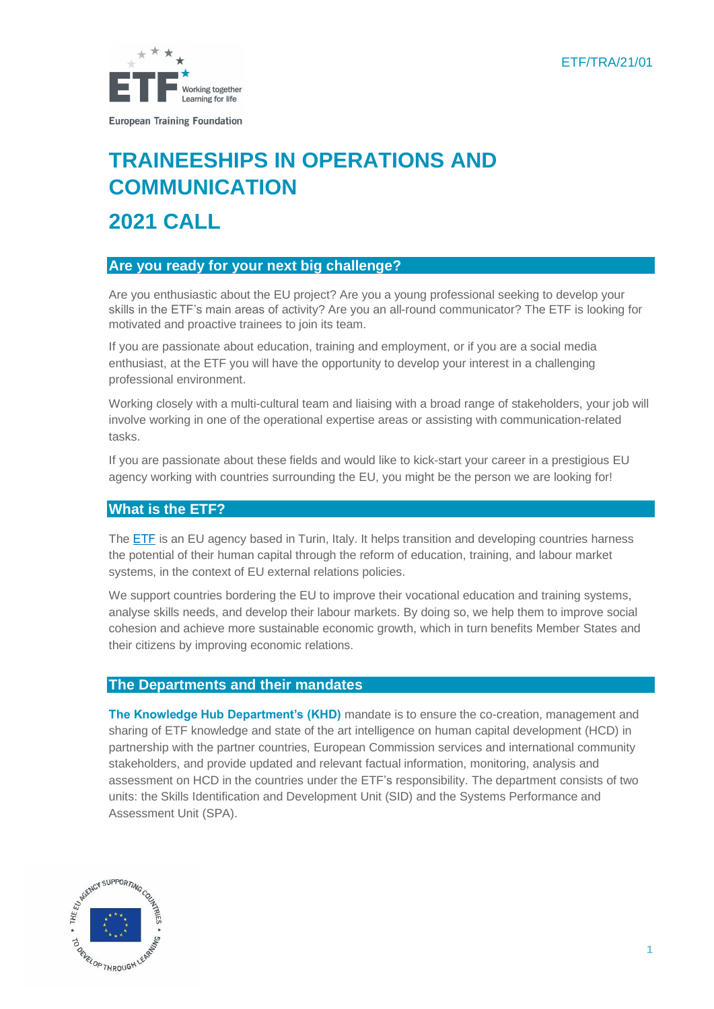ETF/TRA/21/01



# **TRAINEESHIPS IN OPERATIONS AND COMMUNICATION 2021 CALL**

# **Are you ready for your next big challenge?**

Are you enthusiastic about the EU project? Are you a young professional seeking to develop your skills in the ETF's main areas of activity? Are you an all-round communicator? The ETF is looking for motivated and proactive trainees to join its team.

If you are passionate about education, training and employment, or if you are a social media enthusiast, at the ETF you will have the opportunity to develop your interest in a challenging professional environment.

Working closely with a multi-cultural team and liaising with a broad range of stakeholders, your job will involve working in one of the operational expertise areas or assisting with communication-related tasks.

If you are passionate about these fields and would like to kick-start your career in a prestigious EU agency working with countries surrounding the EU, you might be the person we are looking for!

# **What is the ETF?**

The ETF [is an EU agency](https://www.etf.europa.eu/) based in Turin, Italy. It helps transition and developing countries harness the potential of their human capital through the reform of education, training, and labour market systems, in the context of EU external relations policies.

We support countries bordering the EU to improve their vocational education and training systems, analyse skills needs, and develop their labour markets. By doing so, we help them to improve social cohesion and achieve more sustainable economic growth, which in turn benefits Member States and their citizens by improving economic relations.

#### **The Departments and their mandates**

**The Knowledge Hub Department's (KHD)** mandate is to ensure the co-creation, management and sharing of ETF knowledge and state of the art intelligence on human capital development (HCD) in partnership with the partner countries, European Commission services and international community stakeholders, and provide updated and relevant factual information, monitoring, analysis and assessment on HCD in the countries under the ETF's responsibility. The department consists of two units: the Skills Identification and Development Unit (SID) and the Systems Performance and Assessment Unit (SPA).

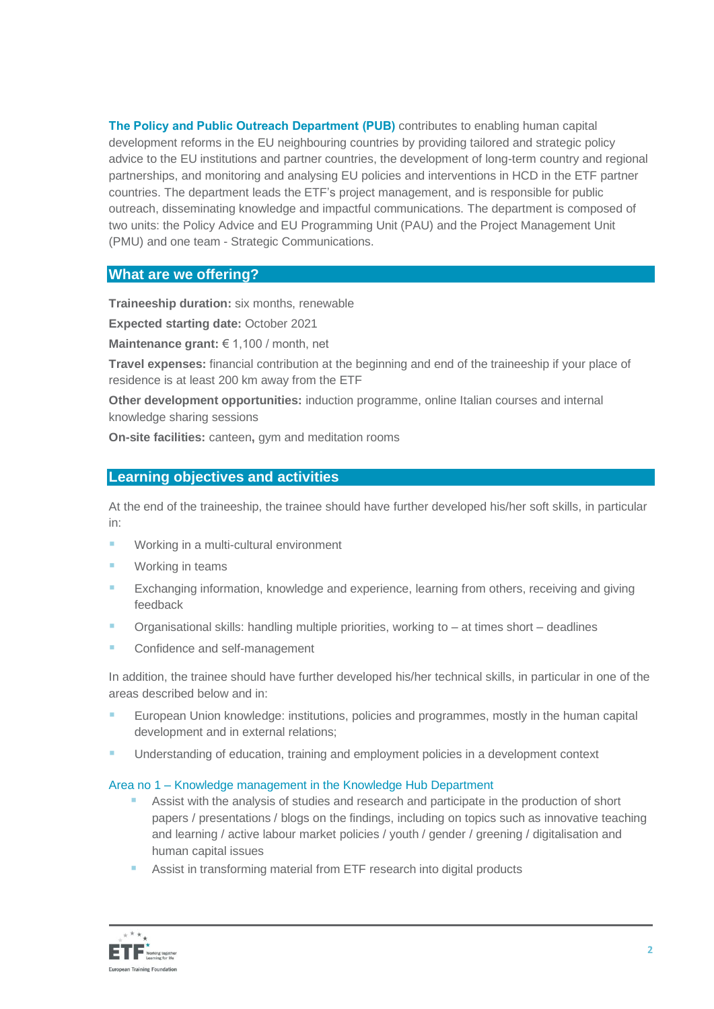**The Policy and Public Outreach Department (PUB)** contributes to enabling human capital development reforms in the EU neighbouring countries by providing tailored and strategic policy advice to the EU institutions and partner countries, the development of long-term country and regional partnerships, and monitoring and analysing EU policies and interventions in HCD in the ETF partner countries. The department leads the ETF's project management, and is responsible for public outreach, disseminating knowledge and impactful communications. The department is composed of two units: the Policy Advice and EU Programming Unit (PAU) and the Project Management Unit (PMU) and one team - Strategic Communications.

## **What are we offering?**

**Traineeship duration:** six months, renewable

**Expected starting date:** October 2021

**Maintenance grant:** € 1,100 / month, net

**Travel expenses:** financial contribution at the beginning and end of the traineeship if your place of residence is at least 200 km away from the ETF

**Other development opportunities:** induction programme, online Italian courses and internal knowledge sharing sessions

**On-site facilities:** canteen**,** gym and meditation rooms

## **Learning objectives and activities**

At the end of the traineeship, the trainee should have further developed his/her soft skills, in particular in:

- Working in a multi-cultural environment
- Working in teams
- **Exchanging information, knowledge and experience, learning from others, receiving and giving** feedback
- **•** Organisational skills: handling multiple priorities, working to  $-$  at times short  $-$  deadlines
- Confidence and self-management

In addition, the trainee should have further developed his/her technical skills, in particular in one of the areas described below and in:

- European Union knowledge: institutions, policies and programmes, mostly in the human capital development and in external relations;
- Understanding of education, training and employment policies in a development context

#### Area no 1 – Knowledge management in the Knowledge Hub Department

- Assist with the analysis of studies and research and participate in the production of short papers / presentations / blogs on the findings, including on topics such as innovative teaching and learning / active labour market policies / youth / gender / greening / digitalisation and human capital issues
- Assist in transforming material from ETF research into digital products

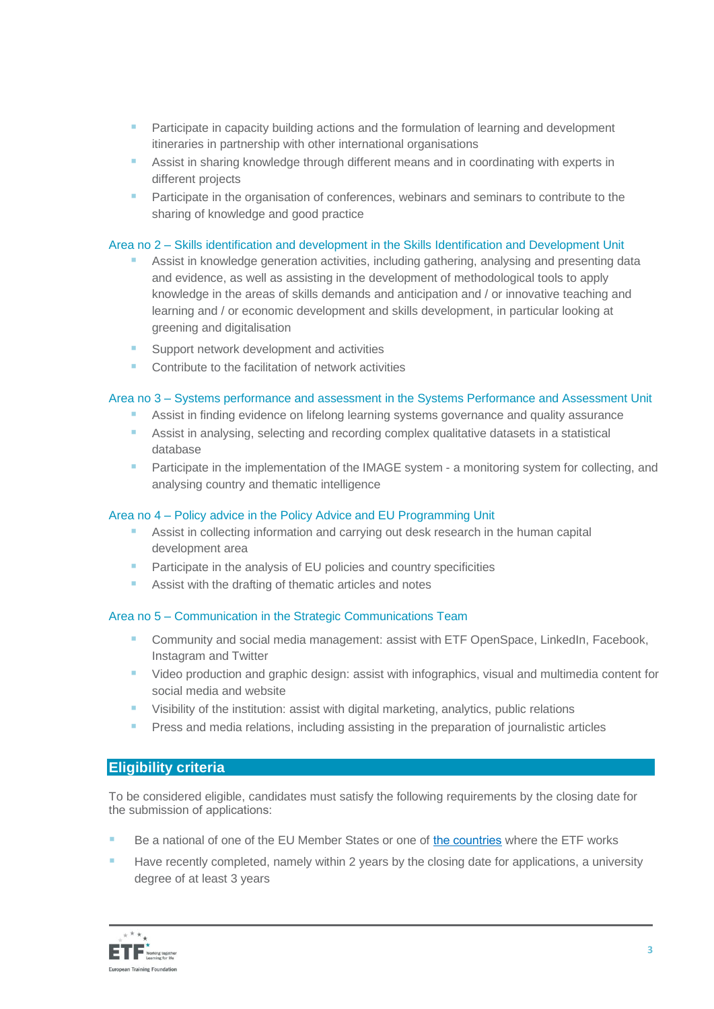- Participate in capacity building actions and the formulation of learning and development itineraries in partnership with other international organisations
- Assist in sharing knowledge through different means and in coordinating with experts in different projects
- **E** Participate in the organisation of conferences, webinars and seminars to contribute to the sharing of knowledge and good practice

#### Area no 2 – Skills identification and development in the Skills Identification and Development Unit

- Assist in knowledge generation activities, including gathering, analysing and presenting data and evidence, as well as assisting in the development of methodological tools to apply knowledge in the areas of skills demands and anticipation and / or innovative teaching and learning and / or economic development and skills development, in particular looking at greening and digitalisation
- Support network development and activities
- Contribute to the facilitation of network activities

#### Area no 3 – Systems performance and assessment in the Systems Performance and Assessment Unit

- Assist in finding evidence on lifelong learning systems governance and quality assurance
- Assist in analysing, selecting and recording complex qualitative datasets in a statistical database
- **E** Participate in the implementation of the IMAGE system a monitoring system for collecting, and analysing country and thematic intelligence

#### Area no 4 – Policy advice in the Policy Advice and EU Programming Unit

- Assist in collecting information and carrying out desk research in the human capital development area
- Participate in the analysis of EU policies and country specificities
- Assist with the drafting of thematic articles and notes

#### Area no 5 – Communication in the Strategic Communications Team

- **E** Community and social media management: assist with ETF OpenSpace, LinkedIn, Facebook, Instagram and Twitter
- Video production and graphic design: assist with infographics, visual and multimedia content for social media and website
- **E** Visibility of the institution: assist with digital marketing, analytics, public relations
- Press and media relations, including assisting in the preparation of journalistic articles

#### **Eligibility criteria**

To be considered eligible, candidates must satisfy the following requirements by the closing date for the submission of applications:

- Be a national of one of the EU Member States or one of [the countries](https://www.etf.europa.eu/en/regions-and-countries) where the ETF works
- Have recently completed, namely within 2 years by the closing date for applications, a university degree of at least 3 years

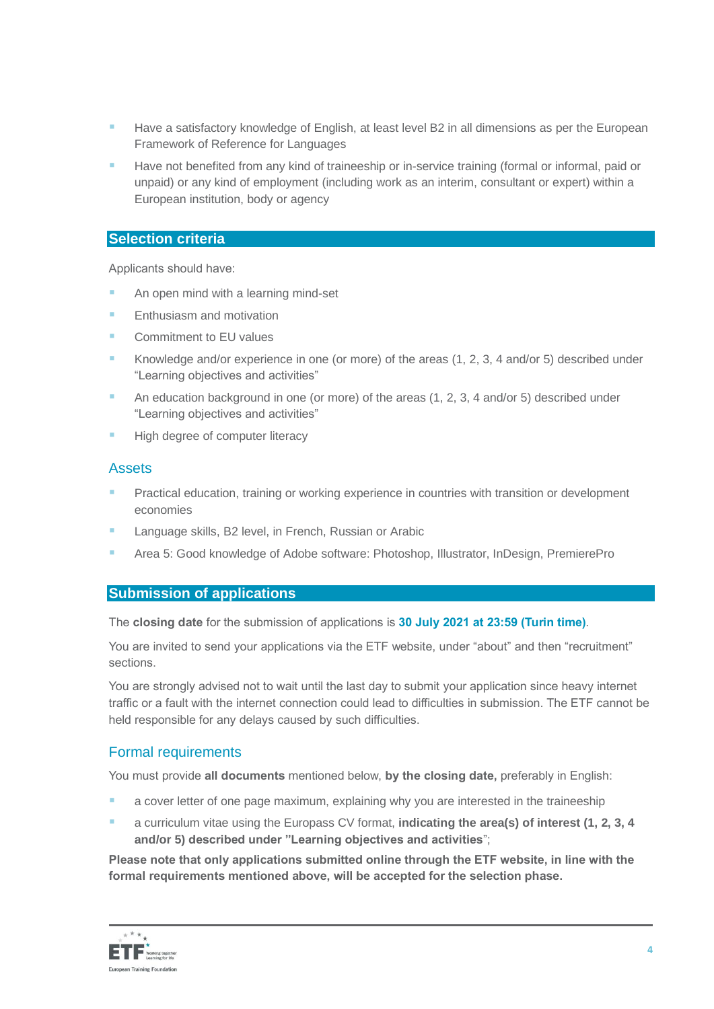- Have a satisfactory knowledge of English, at least level B2 in all dimensions as per the European Framework of Reference for Languages
- Have not benefited from any kind of traineeship or in-service training (formal or informal, paid or unpaid) or any kind of employment (including work as an interim, consultant or expert) within a European institution, body or agency

#### **Selection criteria**

Applicants should have:

- An open mind with a learning mind-set
- Enthusiasm and motivation
- Commitment to EU values
- Knowledge and/or experience in one (or more) of the areas  $(1, 2, 3, 4 \text{ and/or } 5)$  described under "Learning objectives and activities"
- An education background in one (or more) of the areas  $(1, 2, 3, 4$  and/or 5) described under "Learning objectives and activities"
- High degree of computer literacy

## **Assets**

- Practical education, training or working experience in countries with transition or development economies
- Language skills, B2 level, in French, Russian or Arabic
- Area 5: Good knowledge of Adobe software: Photoshop, Illustrator, InDesign, PremierePro

#### **Submission of applications**

The **closing date** for the submission of applications is **30 July 2021 at 23:59 (Turin time)**.

You are invited to send your applications via the ETF website, under "about" and then "recruitment" sections.

You are strongly advised not to wait until the last day to submit your application since heavy internet traffic or a fault with the internet connection could lead to difficulties in submission. The ETF cannot be held responsible for any delays caused by such difficulties.

#### Formal requirements

You must provide **all documents** mentioned below, **by the closing date,** preferably in English:

- a cover letter of one page maximum, explaining why you are interested in the traineeship
- a curriculum vitae using th[e Europass CV format,](http://europass.cedefop.europa.eu/en/documents/curriculum-vitae/templates-instructions) **indicating the area(s) of interest (1, 2, 3, 4 and/or 5) described under "Learning objectives and activities**";

**Please note that only applications submitted online through the ETF website, in line with the formal requirements mentioned above, will be accepted for the selection phase.**

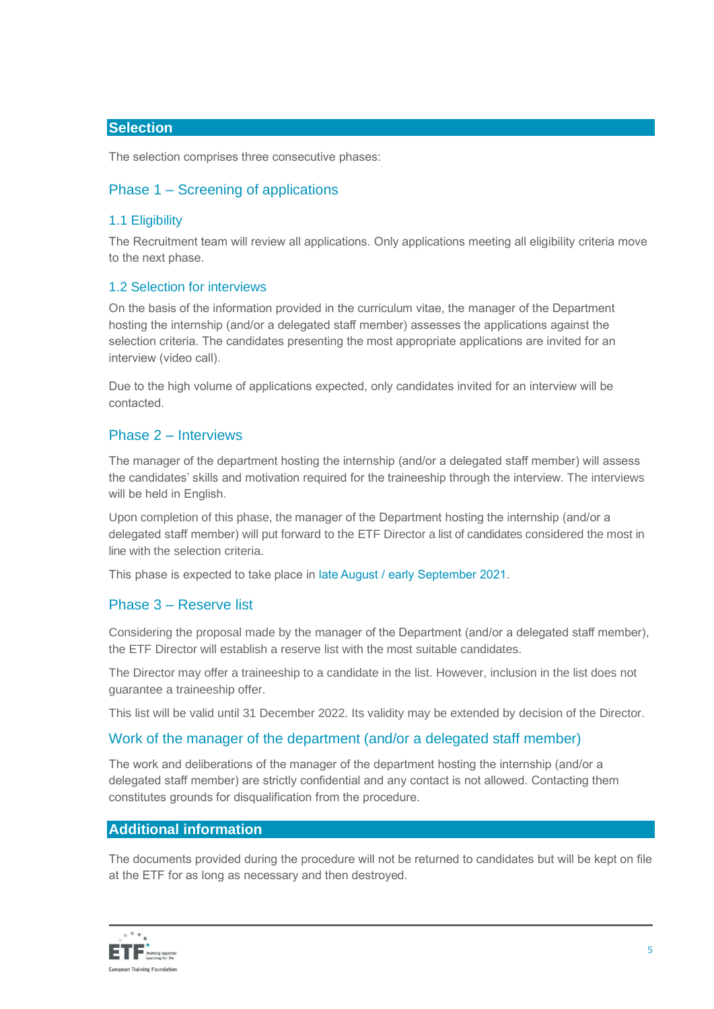# **Selection**

The selection comprises three consecutive phases:

# Phase 1 – Screening of applications

## 1.1 Eligibility

The Recruitment team will review all applications. Only applications meeting all eligibility criteria move to the next phase.

## 1.2 Selection for interviews

On the basis of the information provided in the curriculum vitae, the manager of the Department hosting the internship (and/or a delegated staff member) assesses the applications against the selection criteria. The candidates presenting the most appropriate applications are invited for an interview (video call).

Due to the high volume of applications expected, only candidates invited for an interview will be contacted.

# Phase 2 – Interviews

The manager of the department hosting the internship (and/or a delegated staff member) will assess the candidates' skills and motivation required for the traineeship through the interview. The interviews will be held in English.

Upon completion of this phase, the manager of the Department hosting the internship (and/or a delegated staff member) will put forward to the ETF Director a list of candidates considered the most in line with the selection criteria.

This phase is expected to take place in late August / early September 2021.

# Phase 3 – Reserve list

Considering the proposal made by the manager of the Department (and/or a delegated staff member), the ETF Director will establish a reserve list with the most suitable candidates.

The Director may offer a traineeship to a candidate in the list. However, inclusion in the list does not guarantee a traineeship offer.

This list will be valid until 31 December 2022. Its validity may be extended by decision of the Director.

# Work of the manager of the department (and/or a delegated staff member)

The work and deliberations of the manager of the department hosting the internship (and/or a delegated staff member) are strictly confidential and any contact is not allowed. Contacting them constitutes grounds for disqualification from the procedure.

#### **Additional information**

The documents provided during the procedure will not be returned to candidates but will be kept on file at the ETF for as long as necessary and then destroyed.